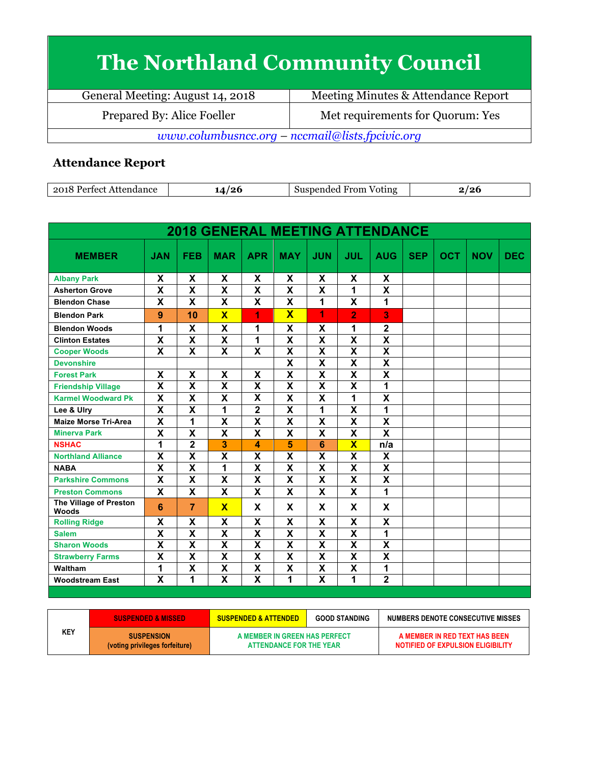## **The Northland Community Council**

| General Meeting: August 14, 2018                | Meeting Minutes & Attendance Report |  |  |  |
|-------------------------------------------------|-------------------------------------|--|--|--|
| Prepared By: Alice Foeller                      | Met requirements for Quorum: Yes    |  |  |  |
| www.columbusncc.org – nccmail@lists.fpcivic.org |                                     |  |  |  |

## **Attendance Report**

| 2018<br>Attendance<br>, Pertect. | /9f<br>$-1$ | From<br>. <del>.</del><br>Voting<br>nded<br>-5119<br>sner | $\epsilon$<br>- - |
|----------------------------------|-------------|-----------------------------------------------------------|-------------------|

| <b>2018 GENERAL MEETING ATTENDANCE</b> |                           |                         |                         |                         |                         |                         |                         |                           |            |            |            |            |
|----------------------------------------|---------------------------|-------------------------|-------------------------|-------------------------|-------------------------|-------------------------|-------------------------|---------------------------|------------|------------|------------|------------|
| <b>MEMBER</b>                          | <b>JAN</b>                | <b>FEB</b>              | <b>MAR</b>              | <b>APR</b>              | <b>MAY</b>              | <b>JUN</b>              | <b>JUL</b>              | <b>AUG</b>                | <b>SEP</b> | <b>OCT</b> | <b>NOV</b> | <b>DEC</b> |
| <b>Albany Park</b>                     | X                         | $\overline{\mathsf{x}}$ | X                       | $\overline{\mathbf{x}}$ | X                       | $\overline{\mathsf{x}}$ | $\overline{\mathsf{x}}$ | $\overline{\mathbf{x}}$   |            |            |            |            |
| <b>Asherton Grove</b>                  | $\overline{\mathbf{x}}$   | $\overline{\mathsf{x}}$ | $\overline{\mathsf{x}}$ | $\overline{\mathbf{x}}$ | $\overline{\mathsf{x}}$ | $\overline{\textsf{x}}$ | 1                       | $\overline{\mathsf{x}}$   |            |            |            |            |
| <b>Blendon Chase</b>                   | X                         | X                       | X                       | X                       | X                       | 1                       | X                       | 1                         |            |            |            |            |
| <b>Blendon Park</b>                    | 9                         | 10                      | $\overline{\mathbf{x}}$ | 1                       | $\overline{\mathbf{x}}$ | 1                       | $\overline{2}$          | 3                         |            |            |            |            |
| <b>Blendon Woods</b>                   | 1                         | X                       | X                       | 1                       | X                       | X                       | 1                       | $\overline{\mathbf{2}}$   |            |            |            |            |
| <b>Clinton Estates</b>                 | X                         | X                       | $\overline{\mathbf{x}}$ | 1                       | $\overline{\mathbf{x}}$ | X                       | X                       | $\overline{\mathbf{X}}$   |            |            |            |            |
| <b>Cooper Woods</b>                    | $\overline{\mathbf{x}}$   | $\overline{\mathbf{x}}$ | $\overline{\mathbf{x}}$ | $\overline{\mathbf{x}}$ | $\overline{\mathbf{X}}$ | $\overline{\mathsf{x}}$ | $\overline{\mathsf{x}}$ | $\overline{\mathbf{X}}$   |            |            |            |            |
| <b>Devonshire</b>                      |                           |                         |                         |                         | $\overline{\mathbf{x}}$ | $\overline{\mathbf{x}}$ | $\overline{\mathbf{x}}$ | $\overline{\mathbf{x}}$   |            |            |            |            |
| <b>Forest Park</b>                     | X                         | X                       | X                       | X                       | X                       | X                       | X                       | $\boldsymbol{\mathsf{X}}$ |            |            |            |            |
| <b>Friendship Village</b>              | $\overline{\mathsf{x}}$   | $\overline{\textbf{x}}$ | $\overline{\mathbf{x}}$ | $\overline{\mathsf{x}}$ | $\overline{\mathbf{x}}$ | $\overline{\textsf{x}}$ | $\overline{\mathsf{x}}$ | 1                         |            |            |            |            |
| <b>Karmel Woodward Pk</b>              | X                         | X                       | X                       | $\overline{\mathbf{x}}$ | $\mathbf x$             | X                       | 1                       | X                         |            |            |            |            |
| Lee & Ulry                             | $\boldsymbol{\mathsf{X}}$ | X                       | 1                       | $\mathbf 2$             | X                       | 1                       | X                       | 1                         |            |            |            |            |
| <b>Maize Morse Tri-Area</b>            | $\overline{\mathbf{x}}$   | $\overline{1}$          | $\overline{\mathbf{x}}$ | $\overline{\mathsf{x}}$ | $\overline{\mathbf{x}}$ | $\overline{\mathsf{x}}$ | $\overline{\mathsf{x}}$ | $\overline{\mathsf{x}}$   |            |            |            |            |
| <b>Minerva Park</b>                    | $\overline{\mathbf{x}}$   | $\overline{\mathbf{x}}$ | $\overline{\mathsf{x}}$ | $\overline{\mathsf{x}}$ | $\overline{\mathbf{x}}$ | $\overline{\mathsf{x}}$ | $\overline{\mathsf{x}}$ | $\overline{\mathbf{X}}$   |            |            |            |            |
| <b>NSHAC</b>                           | 1                         | $\overline{\mathbf{2}}$ | 3                       | 4                       | 5                       | 6                       | $\overline{\mathbf{X}}$ | n/a                       |            |            |            |            |
| <b>Northland Alliance</b>              | $\overline{\mathbf{x}}$   | $\overline{\mathsf{x}}$ | $\overline{\mathsf{x}}$ | X                       | $\overline{\mathbf{x}}$ | $\overline{\textsf{x}}$ | $\overline{\mathsf{x}}$ | $\boldsymbol{\mathsf{X}}$ |            |            |            |            |
| <b>NABA</b>                            | $\overline{\mathbf{x}}$   | $\overline{\mathsf{x}}$ | 1                       | $\overline{\mathsf{x}}$ | $\overline{\mathbf{x}}$ | $\overline{\mathsf{x}}$ | $\overline{\mathbf{x}}$ | $\overline{\mathbf{X}}$   |            |            |            |            |
| <b>Parkshire Commons</b>               | X                         | X                       | X                       | X                       | $\mathbf x$             | X                       | X                       | X                         |            |            |            |            |
| <b>Preston Commons</b>                 | $\mathbf x$               | X                       | X                       | X                       | $\mathbf x$             | X                       | X                       | 1                         |            |            |            |            |
| The Village of Preston<br><b>Woods</b> | 6                         | $\overline{7}$          | $\overline{\mathbf{X}}$ | X                       | X                       | X                       | X                       | X                         |            |            |            |            |
| <b>Rolling Ridge</b>                   | X                         | X                       | X                       | X                       | X                       | X                       | X                       | $\boldsymbol{\mathsf{X}}$ |            |            |            |            |
| <b>Salem</b>                           | $\boldsymbol{\mathsf{X}}$ | X                       | X                       | X                       | X                       | X                       | X                       | 1                         |            |            |            |            |
| <b>Sharon Woods</b>                    | $\overline{\mathbf{x}}$   | $\overline{\mathsf{x}}$ | $\overline{\mathsf{x}}$ | $\overline{\mathsf{x}}$ | $\overline{\mathbf{x}}$ | $\overline{\mathsf{x}}$ | $\overline{\mathsf{x}}$ | X                         |            |            |            |            |
| <b>Strawberry Farms</b>                | $\overline{\mathbf{x}}$   | $\overline{\mathbf{x}}$ | $\overline{\mathsf{x}}$ | $\overline{\mathbf{x}}$ | $\overline{\mathbf{X}}$ | $\overline{\textbf{x}}$ | $\overline{\mathbf{x}}$ | $\overline{\mathbf{X}}$   |            |            |            |            |
| Waltham                                | 1                         | X                       | $\overline{\mathsf{x}}$ | $\overline{\mathbf{x}}$ | $\overline{\mathbf{X}}$ | X                       | X                       | 1                         |            |            |            |            |
| <b>Woodstream East</b>                 | $\overline{\mathbf{x}}$   | 1                       | $\overline{\mathbf{x}}$ | $\overline{\mathsf{x}}$ | 1                       | $\overline{\mathsf{x}}$ | 1                       | $\overline{2}$            |            |            |            |            |

|     | <b>SUSPENDED &amp; MISSED</b>                       | <b>SUSPENDED &amp; ATTENDED</b>                          | <b>GOOD STANDING</b> | NUMBERS DENOTE CONSECUTIVE MISSES                                  |  |  |
|-----|-----------------------------------------------------|----------------------------------------------------------|----------------------|--------------------------------------------------------------------|--|--|
| KEY | <b>SUSPENSION</b><br>(voting privileges forfeiture) | A MEMBER IN GREEN HAS PERFECT<br>ATTENDANCE FOR THE YEAR |                      | A MEMBER IN RED TEXT HAS BEEN<br>NOTIFIED OF EXPULSION ELIGIBILITY |  |  |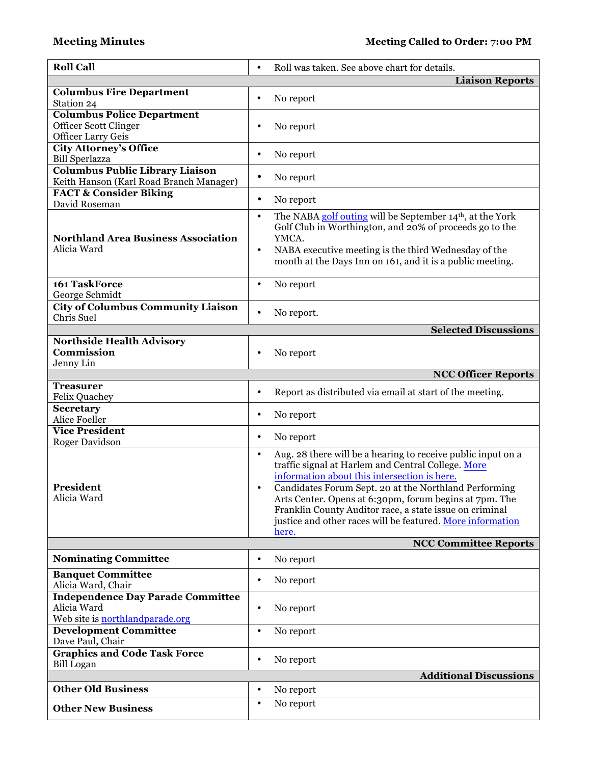| <b>Roll Call</b>                                                                                  | Roll was taken. See above chart for details.<br>$\bullet$                                                                                                                                                                                                                                                                                                                                                                            |
|---------------------------------------------------------------------------------------------------|--------------------------------------------------------------------------------------------------------------------------------------------------------------------------------------------------------------------------------------------------------------------------------------------------------------------------------------------------------------------------------------------------------------------------------------|
|                                                                                                   | <b>Liaison Reports</b>                                                                                                                                                                                                                                                                                                                                                                                                               |
| <b>Columbus Fire Department</b><br>Station 24                                                     | No report<br>$\bullet$                                                                                                                                                                                                                                                                                                                                                                                                               |
| <b>Columbus Police Department</b><br><b>Officer Scott Clinger</b><br><b>Officer Larry Geis</b>    | No report<br>$\bullet$                                                                                                                                                                                                                                                                                                                                                                                                               |
| <b>City Attorney's Office</b><br><b>Bill Sperlazza</b>                                            | No report<br>$\bullet$                                                                                                                                                                                                                                                                                                                                                                                                               |
| Columbus Public Library Liaison<br>Keith Hanson (Karl Road Branch Manager)                        | No report<br>$\bullet$                                                                                                                                                                                                                                                                                                                                                                                                               |
| <b>FACT &amp; Consider Biking</b><br>David Roseman                                                | $\bullet$<br>No report                                                                                                                                                                                                                                                                                                                                                                                                               |
| <b>Northland Area Business Association</b><br>Alicia Ward                                         | The NABA golf outing will be September 14 <sup>th</sup> , at the York<br>$\bullet$<br>Golf Club in Worthington, and 20% of proceeds go to the<br>YMCA.<br>NABA executive meeting is the third Wednesday of the<br>$\bullet$<br>month at the Days Inn on 161, and it is a public meeting.                                                                                                                                             |
| 161 TaskForce<br>George Schmidt                                                                   | No report<br>$\bullet$                                                                                                                                                                                                                                                                                                                                                                                                               |
| <b>City of Columbus Community Liaison</b><br>Chris Suel                                           | $\bullet$<br>No report.                                                                                                                                                                                                                                                                                                                                                                                                              |
|                                                                                                   | <b>Selected Discussions</b>                                                                                                                                                                                                                                                                                                                                                                                                          |
| <b>Northside Health Advisory</b><br>Commission<br>Jenny Lin                                       | No report<br>٠                                                                                                                                                                                                                                                                                                                                                                                                                       |
|                                                                                                   | <b>NCC Officer Reports</b>                                                                                                                                                                                                                                                                                                                                                                                                           |
| <b>Treasurer</b><br><b>Felix Quachey</b>                                                          | Report as distributed via email at start of the meeting.<br>$\bullet$                                                                                                                                                                                                                                                                                                                                                                |
| <b>Secretary</b><br><b>Alice Foeller</b>                                                          | No report<br>$\bullet$                                                                                                                                                                                                                                                                                                                                                                                                               |
| <b>Vice President</b><br><b>Roger Davidson</b>                                                    | No report<br>$\bullet$                                                                                                                                                                                                                                                                                                                                                                                                               |
| <b>President</b><br>Alicia Ward                                                                   | Aug. 28 there will be a hearing to receive public input on a<br>$\bullet$<br>traffic signal at Harlem and Central College. More<br>information about this intersection is here.<br>Candidates Forum Sept. 20 at the Northland Performing<br>Arts Center. Opens at 6:30pm, forum begins at 7pm. The<br>Franklin County Auditor race, a state issue on criminal<br>justice and other races will be featured. More information<br>here. |
|                                                                                                   | <b>NCC Committee Reports</b>                                                                                                                                                                                                                                                                                                                                                                                                         |
| <b>Nominating Committee</b>                                                                       | No report<br>$\bullet$                                                                                                                                                                                                                                                                                                                                                                                                               |
| <b>Banquet Committee</b><br>Alicia Ward, Chair                                                    | No report<br>٠                                                                                                                                                                                                                                                                                                                                                                                                                       |
| <b>Independence Day Parade Committee</b><br>Alicia Ward<br>Web site is <b>northlandparade.org</b> | No report<br>$\bullet$                                                                                                                                                                                                                                                                                                                                                                                                               |
| <b>Development Committee</b><br>Dave Paul, Chair                                                  | $\bullet$<br>No report                                                                                                                                                                                                                                                                                                                                                                                                               |
| <b>Graphics and Code Task Force</b><br><b>Bill Logan</b>                                          | No report<br>$\bullet$                                                                                                                                                                                                                                                                                                                                                                                                               |
|                                                                                                   | <b>Additional Discussions</b>                                                                                                                                                                                                                                                                                                                                                                                                        |
| <b>Other Old Business</b>                                                                         | No report<br>$\bullet$                                                                                                                                                                                                                                                                                                                                                                                                               |
| <b>Other New Business</b>                                                                         | No report<br>$\bullet$                                                                                                                                                                                                                                                                                                                                                                                                               |